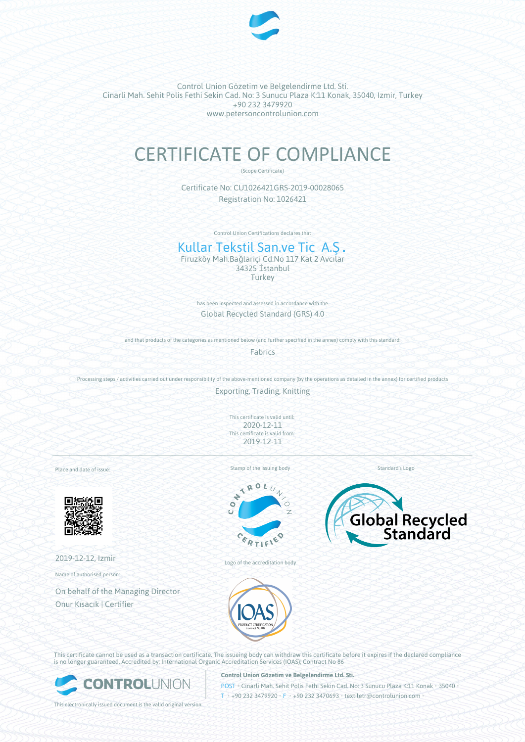

Control Union Gözetim ve Belgelendirme Ltd. Sti. Cinarli Mah. Sehit Polis Fethi Sekin Cad. No: 3 Sunucu Plaza K:11 Konak, 35040, Izmir, Turkey +90 232 3479920 www.petersoncontrolunion.com

# CERTIFICATE OF COMPLIANCE

(Scope Certificate)

Certificate No: CU1026421GRS-2019-00028065 Registration No: 1026421

Control Union Certifications declares that

# Kullar Tekstil San.ve Tic A.Ş.

Firuzköy Mah.Bağlariçi Cd.No 117 Kat 2 Avcılar 34325 İstanbul **Turkey** 

> has been inspected and assessed in accordance with the Global Recycled Standard (GRS) 4.0

and that products of the categories as mentioned below (and further specified in the annex) comply with this standard:

Fabrics

Processing steps / activities carried out under responsibility of the above-mentioned company (by the operations as detailed in the annex) for certified products

Exporting, Trading, Knitting

This certificate is valid until: 2020-12-11 This certificate is valid from: 2019-12-11

Place and date of issue:



2019-12-12, Izmir

Name of authorised person:

On behalf of the Managing Director Onur Kısacık | Certifier

Stamp of the issuing body



Logo of the accreditation body



Standard's Logo



This certificate cannot be used as a transaction certificate. The issueing body can withdraw this certificate before it expires if the declared compliance is no longer guaranteed. Accredited by: International Organic Accreditation Services (IOAS); Contract No 86



**Control Union Gözetim ve Belgelendirme Ltd. Sti.**

**POST • Cinarli Mah. Sehit Polis Fethi Sekin Cad. No: 3 Sunucu Plaza K:11 Konak • 35040**  $I_{\text{H}}$  +90 232 3479920 • F • +90 232 3470693 • textiletr@controlunion.com

This electronically issued document is the valid original version.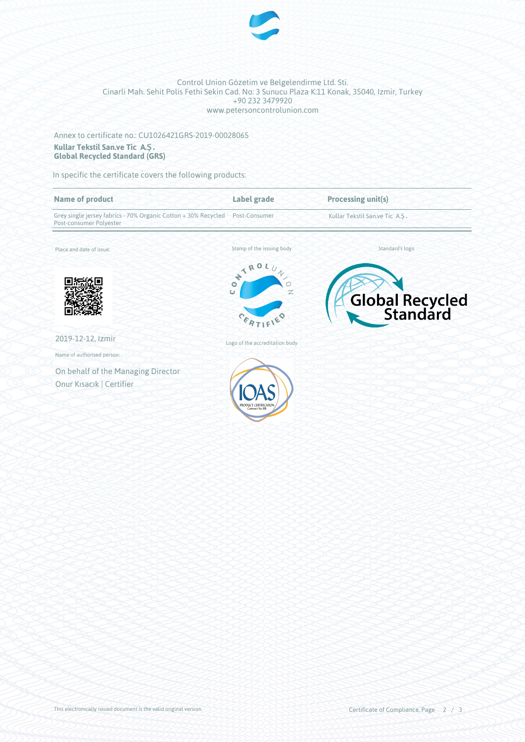

#### Control Union Gözetim ve Belgelendirme Ltd. Sti. Cinarli Mah. Sehit Polis Fethi Sekin Cad. No: 3 Sunucu Plaza K:11 Konak, 35040, Izmir, Turkey +90 232 3479920 www.petersoncontrolunion.com

## Annex to certificate no.: CU1026421GRS-2019-00028065 **Kullar Tekstil San.ve Tic A.Ş. Global Recycled Standard (GRS)**

In specific the certificate covers the following products:

| <b>Name of product</b>                                                                    | Label grade                         | <b>Processing unit(s)</b>      |
|-------------------------------------------------------------------------------------------|-------------------------------------|--------------------------------|
| Grey single jersey fabrics - 70% Organic Cotton + 30% Recycled<br>Post-consumer Polyester | Post-Consumer                       | Kullar Tekstil San.ve Tic A.S. |
| Place and date of issue:                                                                  | Stamp of the issuing body           | Standard's logo                |
|                                                                                           | ONTROL.<br>$\omega$<br>Z            | Global Recycled                |
| 2019-12-12, Izmir                                                                         | Logo of the accreditation body      |                                |
| Name of authorised person:                                                                |                                     |                                |
| On behalf of the Managing Director                                                        |                                     |                                |
| Onur Kısacık   Certifier                                                                  | PRODUCT CERTIFICA<br>Contract No.86 |                                |
|                                                                                           |                                     |                                |